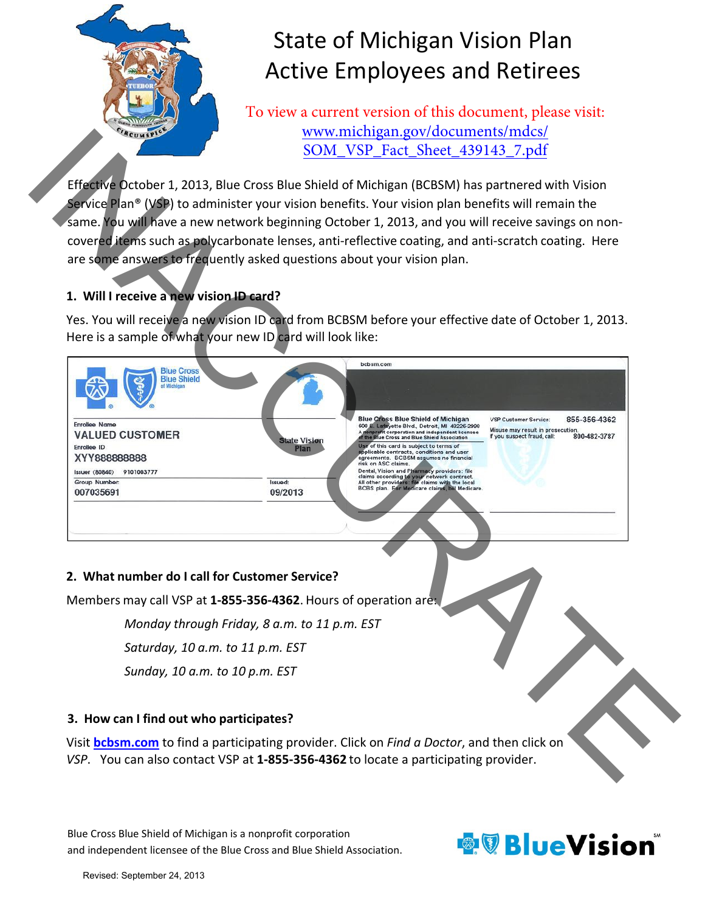

# State of Michigan Vision Plan Active Employees and Retirees

To view a current version of this document, please visit: www.michigan.gov/documents/mdcs/ SOM\_VSP\_Fact\_Sheet\_439143\_7.pdf

Effective October 1, 2013, Blue Cross Blue Shield of Michigan (BCBSM) has partnered with Vision Service Plan® (VSP) to administer your vision benefits. Your vision plan benefits will remain the same. You will have a new network beginning October 1, 2013, and you will receive savings on non‐ covered items such as polycarbonate lenses, anti-reflective coating, and anti-scratch coating. Here are some answers to frequently asked questions about your vision plan.

## **1. Will I receive a new vision ID card?**

Yes. You will receive a new vision ID card from BCBSM before your effective date of October 1, 2013. Here is a sample of what your new ID card will look like:



Blue Cross Blue Shield of Michigan is a nonprofit corporation and independent licensee of the Blue Cross and Blue Shield Association.

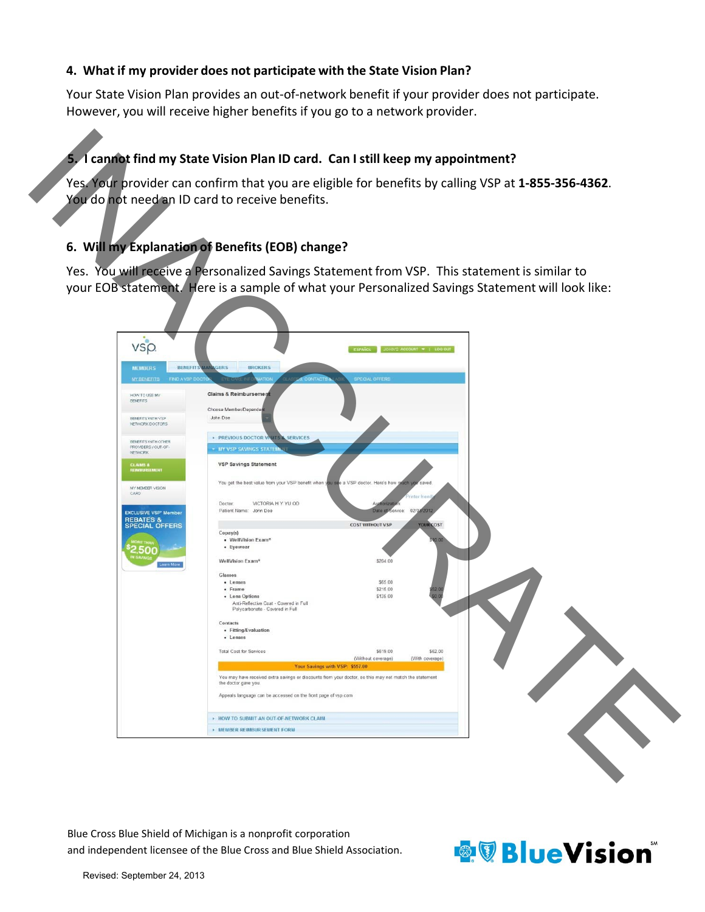#### **4. What if my provider does not participate with the State Vision Plan?**

Your State Vision Plan provides an out‐of‐network benefit if your provider does not participate. However, you will receive higher benefits if you go to a network provider.

# **5. I cannot find my State Vision Plan ID card. Can I still keep my appointment?**

## **6. Will my Explanation of Benefits (EOB) change?**

| You do not need an ID card to receive benefits. |                                                                                                                                | Yes. Your provider can confirm that you are eligible for benefits by calling VSP at 1-855-356-4362. |
|-------------------------------------------------|--------------------------------------------------------------------------------------------------------------------------------|-----------------------------------------------------------------------------------------------------|
|                                                 | 6. Will my Explanation of Benefits (EOB) change?                                                                               |                                                                                                     |
|                                                 |                                                                                                                                | Yes. You will receive a Personalized Savings Statement from VSP. This statement is similar to       |
|                                                 |                                                                                                                                | your EOB statement. Here is a sample of what your Personalized Savings Statement will look like:    |
|                                                 |                                                                                                                                |                                                                                                     |
|                                                 |                                                                                                                                |                                                                                                     |
| VS <sub>p</sub>                                 |                                                                                                                                | N'S ACCOUNT -   LOG OUT                                                                             |
| <b>MEMBERS</b>                                  | <b>BROKERS</b><br><b>BENEFITS MANAGERS</b>                                                                                     |                                                                                                     |
| <b>FIND A VSP DOC</b><br><b>MY BENEFITS</b>     | CONTACT<br><b>SPECIAL OFFERS</b>                                                                                               |                                                                                                     |
| HOW TO USE MY<br><b>BENEFITS</b>                | Claims & Reimbursemen                                                                                                          |                                                                                                     |
| <b>BENEFITS WITH VSP</b><br>NETWORK DOCTORS     | Choose Member/Depender<br>John Doe                                                                                             |                                                                                                     |
| <b>BENEFITS WITH OTHER</b>                      | <b>PREVIOUS DOCTOR VISITS &amp; SERVICES</b>                                                                                   |                                                                                                     |
| PROVIDERS / OUT-OF-<br>NETWORK                  | - MY VSP SAVINGS STATE                                                                                                         |                                                                                                     |
| CLAIMS &<br>REIMBURSEMENT                       | <b>VSP Savings Statement</b>                                                                                                   |                                                                                                     |
| MY MEMBER VISION<br>CARD.                       | You get the best value from your VSP benefit when you see a VSP doctor. Here's how rg                                          | ich vo<br>saved                                                                                     |
| <b>EXCLUSIVE VSP<sup>*</sup> Member</b>         | VICTORIA H Y YU OD<br>Doctor:<br>Authorizati<br>Patient Name: John Doe                                                         | inter frien<br>Date of Service: 02/03/2012                                                          |
| <b>REBATES &amp;<br/>SPECIAL OFFERS</b>         | <b>COST WITHOUT VSP</b>                                                                                                        | <b>YOUR COST</b>                                                                                    |
|                                                 | Copay(s)<br>• WellVision Exam <sup>«</sup><br>• Eyewear                                                                        |                                                                                                     |
|                                                 | WellVision Exam <sup>®</sup><br>\$204.00                                                                                       |                                                                                                     |
|                                                 | Glasses<br>\$65.00<br>· Lenses                                                                                                 |                                                                                                     |
|                                                 | \$215.00<br>· Frame<br>\$135.00<br>· Lens Options                                                                              |                                                                                                     |
|                                                 | Anti-Reflective Coat - Covered in Full<br>Polycarbonate - Covered in Full                                                      |                                                                                                     |
|                                                 | Contacts<br>· Fitting/Evaluation<br>· Lenses                                                                                   |                                                                                                     |
|                                                 | \$619.00<br><b>Total Cost for Services</b>                                                                                     | \$62.00                                                                                             |
|                                                 | (Without coverage)<br>Your Savings with VSP: \$557.00                                                                          | (With coverage)                                                                                     |
|                                                 | You may have received extra savings or discounts from your doctor, so this may not match the statement<br>the doctor gave you. |                                                                                                     |
|                                                 | Appeals language can be accessed on the front page of vsp.com                                                                  |                                                                                                     |
|                                                 | <b>+ HOW TO SUBMIT AN OUT OF NETWORK CLAIM</b>                                                                                 |                                                                                                     |
|                                                 | <b>• MEMBER REIMBURSEMENT FORM</b>                                                                                             |                                                                                                     |
|                                                 |                                                                                                                                |                                                                                                     |
|                                                 |                                                                                                                                |                                                                                                     |
|                                                 |                                                                                                                                |                                                                                                     |
|                                                 |                                                                                                                                |                                                                                                     |
|                                                 | Blue Cross Blue Shield of Michigan is a nonprofit corporation                                                                  |                                                                                                     |